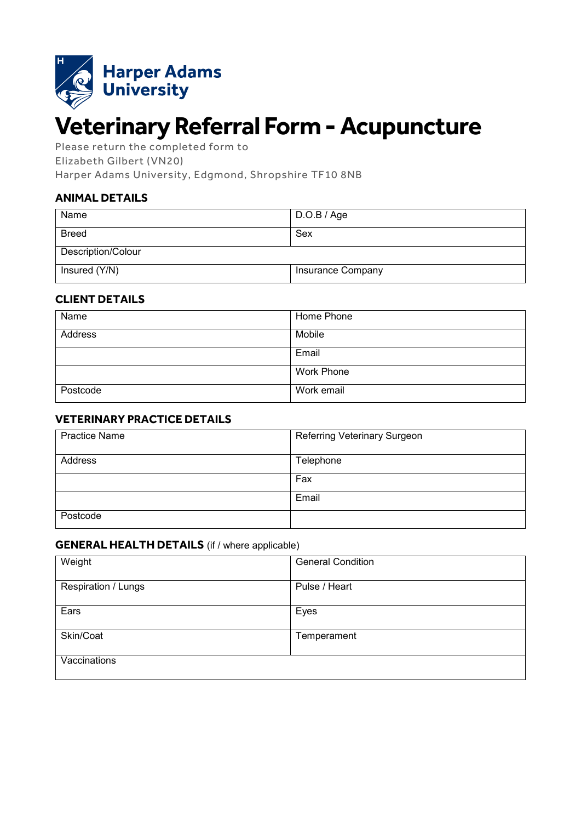

# **Veterinary Referral Form -Acupuncture**

Please return the completed form to Elizabeth Gilbert (VN20)

Harper Adams University, Edgmond, Shropshire TF10 8NB

## **ANIMAL DETAILS**

| Name               | D.O.B / Age       |  |
|--------------------|-------------------|--|
| <b>Breed</b>       | Sex               |  |
| Description/Colour |                   |  |
| Insured (Y/N)      | Insurance Company |  |

### **CLIENT DETAILS**

| Name     | Home Phone |
|----------|------------|
| Address  | Mobile     |
|          | Email      |
|          | Work Phone |
| Postcode | Work email |

### **VETERINARY PRACTICE DETAILS**

| <b>Practice Name</b> | Referring Veterinary Surgeon |  |
|----------------------|------------------------------|--|
| Address              | Telephone                    |  |
|                      | Fax                          |  |
|                      | Email                        |  |
| Postcode             |                              |  |

#### **GENERAL HEALTH DETAILS** (if / where applicable)

| Weight              | <b>General Condition</b> |
|---------------------|--------------------------|
| Respiration / Lungs | Pulse / Heart            |
| Ears                | Eyes                     |
| Skin/Coat           | Temperament              |
| Vaccinations        |                          |